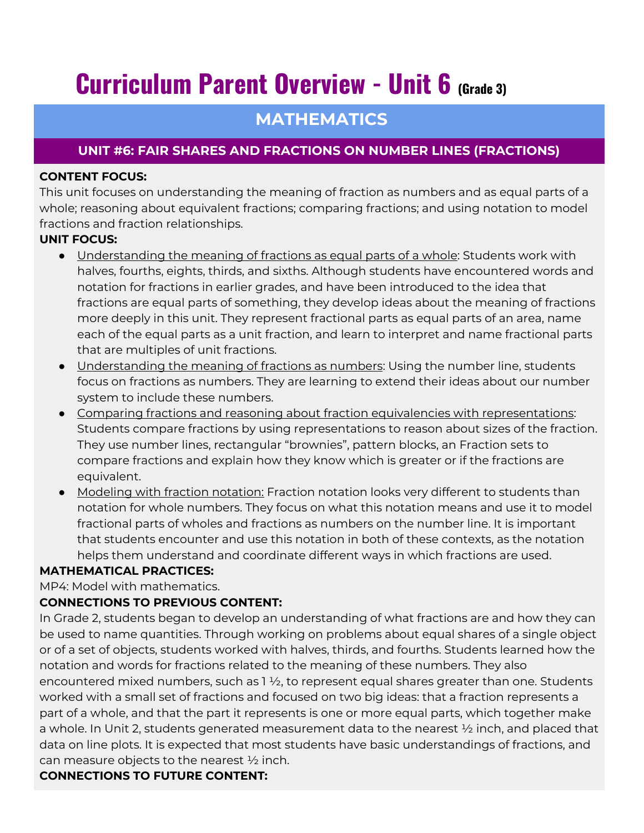# **Curriculum Parent Overview - Unit 6 (Grade 3)**

## **MATHEMATICS**

### **UNIT #6: FAIR SHARES AND FRACTIONS ON NUMBER LINES (FRACTIONS)**

#### **CONTENT FOCUS:**

This unit focuses on understanding the meaning of fraction as numbers and as equal parts of a whole; reasoning about equivalent fractions; comparing fractions; and using notation to model fractions and fraction relationships.

#### **UNIT FOCUS:**

- Understanding the meaning of fractions as equal parts of a whole: Students work with halves, fourths, eights, thirds, and sixths. Although students have encountered words and notation for fractions in earlier grades, and have been introduced to the idea that fractions are equal parts of something, they develop ideas about the meaning of fractions more deeply in this unit. They represent fractional parts as equal parts of an area, name each of the equal parts as a unit fraction, and learn to interpret and name fractional parts that are multiples of unit fractions.
- Understanding the meaning of fractions as numbers: Using the number line, students focus on fractions as numbers. They are learning to extend their ideas about our number system to include these numbers.
- Comparing fractions and reasoning about fraction equivalencies with representations: Students compare fractions by using representations to reason about sizes of the fraction. They use number lines, rectangular "brownies", pattern blocks, an Fraction sets to compare fractions and explain how they know which is greater or if the fractions are equivalent.
- Modeling with fraction notation: Fraction notation looks very different to students than notation for whole numbers. They focus on what this notation means and use it to model fractional parts of wholes and fractions as numbers on the number line. It is important that students encounter and use this notation in both of these contexts, as the notation helps them understand and coordinate different ways in which fractions are used.

#### **MATHEMATICAL PRACTICES:**

MP4: Model with mathematics.

#### **CONNECTIONS TO PREVIOUS CONTENT:**

In Grade 2, students began to develop an understanding of what fractions are and how they can be used to name quantities. Through working on problems about equal shares of a single object or of a set of objects, students worked with halves, thirds, and fourths. Students learned how the notation and words for fractions related to the meaning of these numbers. They also encountered mixed numbers, such as  $1 \frac{1}{2}$ , to represent equal shares greater than one. Students worked with a small set of fractions and focused on two big ideas: that a fraction represents a part of a whole, and that the part it represents is one or more equal parts, which together make a whole. In Unit 2, students generated measurement data to the nearest ½ inch, and placed that data on line plots. It is expected that most students have basic understandings of fractions, and can measure objects to the nearest ½ inch.

#### **CONNECTIONS TO FUTURE CONTENT:**